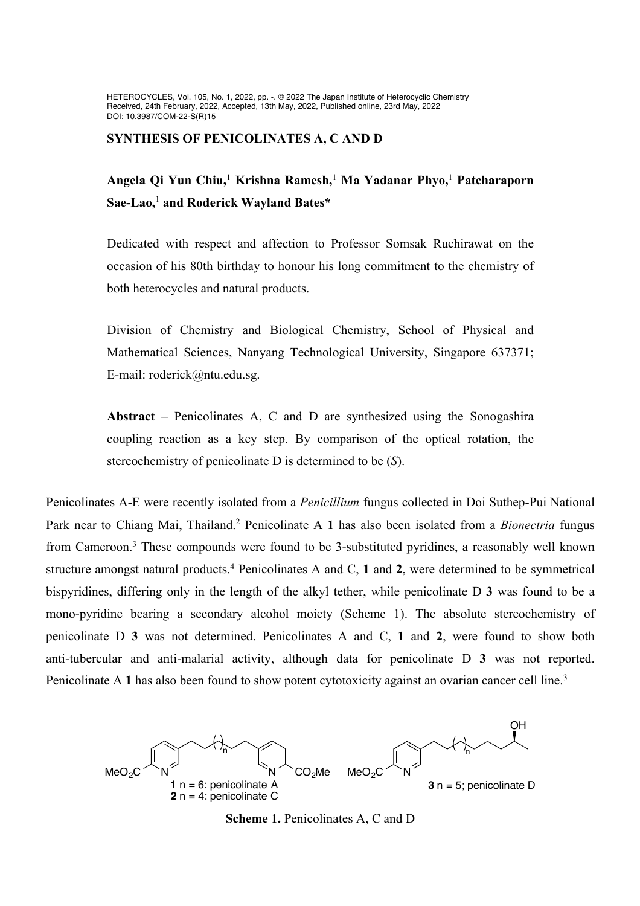HETEROCYCLES, Vol. 105, No. 1, 2022, pp. -. © 2022 The Japan Institute of Heterocyclic Chemistry Received, 24th February, 2022, Accepted, 13th May, 2022, Published online, 23rd May, 2022 DOI: 10.3987/COM-22-S(R)15

#### **SYNTHESIS OF PENICOLINATES A, C AND D**

# **Angela Qi Yun Chiu,**<sup>1</sup>  **Krishna Ramesh,**<sup>1</sup>  **Ma Yadanar Phyo,**<sup>1</sup>  **Patcharaporn Sae-Lao,**<sup>1</sup>  **and Roderick Wayland Bates\***

Dedicated with respect and affection to Professor Somsak Ruchirawat on the occasion of his 80th birthday to honour his long commitment to the chemistry of both heterocycles and natural products.

Division of Chemistry and Biological Chemistry, School of Physical and Mathematical Sciences, Nanyang Technological University, Singapore 637371; E-mail: roderick@ntu.edu.sg.

**Abstract** – Penicolinates A, C and D are synthesized using the Sonogashira coupling reaction as a key step. By comparison of the optical rotation, the stereochemistry of penicolinate D is determined to be (*S*).

Penicolinates A-E were recently isolated from a *Penicillium* fungus collected in Doi Suthep-Pui National Park near to Chiang Mai, Thailand.<sup>2</sup> Penicolinate A 1 has also been isolated from a *Bionectria* fungus from Cameroon.<sup>3</sup> These compounds were found to be 3-substituted pyridines, a reasonably well known structure amongst natural products.4 Penicolinates A and C, **1** and **2**, were determined to be symmetrical bispyridines, differing only in the length of the alkyl tether, while penicolinate D **3** was found to be a mono-pyridine bearing a secondary alcohol moiety (Scheme 1). The absolute stereochemistry of penicolinate D **3** was not determined. Penicolinates A and C, **1** and **2**, were found to show both anti-tubercular and anti-malarial activity, although data for penicolinate D **3** was not reported. Penicolinate A 1 has also been found to show potent cytotoxicity against an ovarian cancer cell line.<sup>3</sup>



**Scheme 1.** Penicolinates A, C and D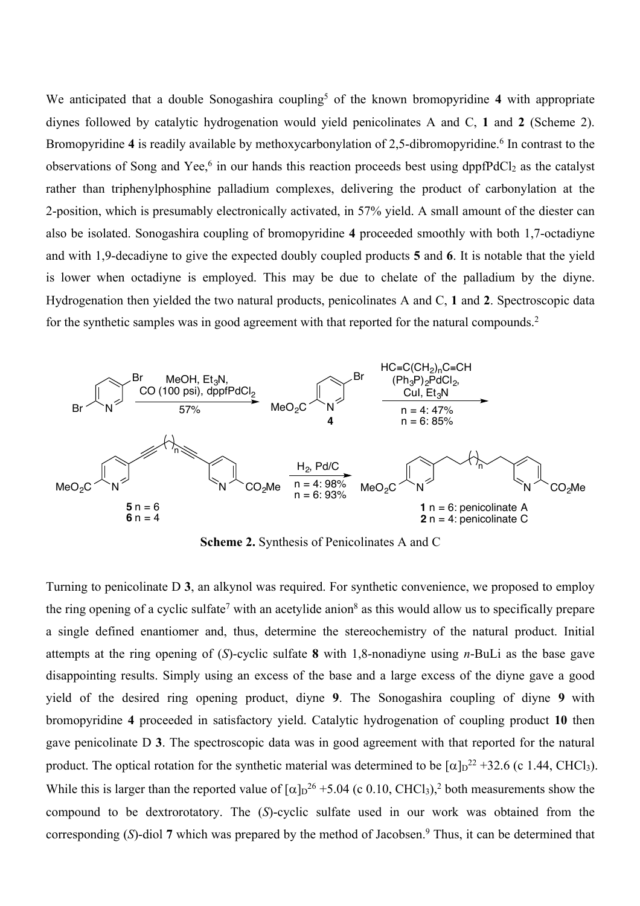We anticipated that a double Sonogashira coupling<sup>5</sup> of the known bromopyridine 4 with appropriate diynes followed by catalytic hydrogenation would yield penicolinates A and C, **1** and **2** (Scheme 2). Bromopyridine 4 is readily available by methoxycarbonylation of 2,5-dibromopyridine.<sup>6</sup> In contrast to the observations of Song and Yee,<sup>6</sup> in our hands this reaction proceeds best using dppfPdCl<sub>2</sub> as the catalyst rather than triphenylphosphine palladium complexes, delivering the product of carbonylation at the 2-position, which is presumably electronically activated, in 57% yield. A small amount of the diester can also be isolated. Sonogashira coupling of bromopyridine **4** proceeded smoothly with both 1,7-octadiyne and with 1,9-decadiyne to give the expected doubly coupled products **5** and **6**. It is notable that the yield is lower when octadiyne is employed. This may be due to chelate of the palladium by the diyne. Hydrogenation then yielded the two natural products, penicolinates A and C, **1** and **2**. Spectroscopic data for the synthetic samples was in good agreement with that reported for the natural compounds.<sup>2</sup>



**Scheme 2.** Synthesis of Penicolinates A and C

Turning to penicolinate D **3**, an alkynol was required. For synthetic convenience, we proposed to employ the ring opening of a cyclic sulfate<sup>7</sup> with an acetylide anion<sup>8</sup> as this would allow us to specifically prepare a single defined enantiomer and, thus, determine the stereochemistry of the natural product. Initial attempts at the ring opening of (*S*)-cyclic sulfate **8** with 1,8-nonadiyne using *n*-BuLi as the base gave disappointing results. Simply using an excess of the base and a large excess of the diyne gave a good yield of the desired ring opening product, diyne **9**. The Sonogashira coupling of diyne **9** with bromopyridine **4** proceeded in satisfactory yield. Catalytic hydrogenation of coupling product **10** then gave penicolinate D **3**. The spectroscopic data was in good agreement with that reported for the natural product. The optical rotation for the synthetic material was determined to be  $\lceil \alpha \rceil_D^{22} + 32.6$  (c 1.44, CHCl<sub>3</sub>). While this is larger than the reported value of  $\alpha$   $\alpha$ <sup>26</sup> +5.04 (c 0.10, CHCl<sub>3</sub>),<sup>2</sup> both measurements show the compound to be dextrorotatory. The (*S*)-cyclic sulfate used in our work was obtained from the corresponding (*S*)-diol 7 which was prepared by the method of Jacobsen.<sup>9</sup> Thus, it can be determined that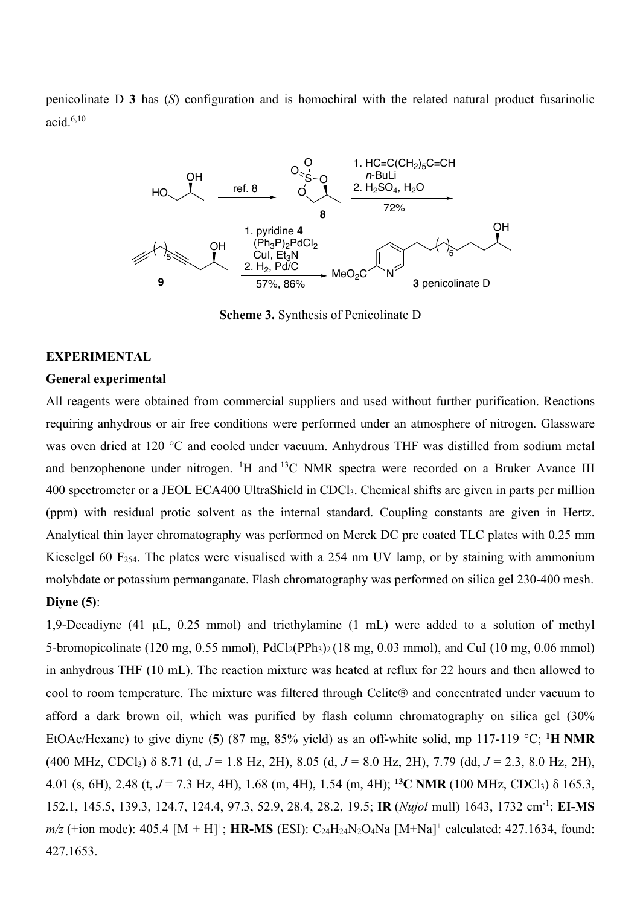penicolinate D **3** has (*S*) configuration and is homochiral with the related natural product fusarinolic acid.6,10



**Scheme 3.** Synthesis of Penicolinate D

### **EXPERIMENTAL**

#### **General experimental**

All reagents were obtained from commercial suppliers and used without further purification. Reactions requiring anhydrous or air free conditions were performed under an atmosphere of nitrogen. Glassware was oven dried at 120 °C and cooled under vacuum. Anhydrous THF was distilled from sodium metal and benzophenone under nitrogen. <sup>1</sup>H and <sup>13</sup>C NMR spectra were recorded on a Bruker Avance III 400 spectrometer or a JEOL ECA400 UltraShield in CDCl3. Chemical shifts are given in parts per million (ppm) with residual protic solvent as the internal standard. Coupling constants are given in Hertz. Analytical thin layer chromatography was performed on Merck DC pre coated TLC plates with 0.25 mm Kieselgel 60 F254. The plates were visualised with a 254 nm UV lamp, or by staining with ammonium molybdate or potassium permanganate. Flash chromatography was performed on silica gel 230-400 mesh. **Diyne (5)**:

1,9-Decadiyne (41 µL, 0.25 mmol) and triethylamine (1 mL) were added to a solution of methyl 5-bromopicolinate (120 mg, 0.55 mmol),  $PdCl_2(PPh_3)_2$  (18 mg, 0.03 mmol), and CuI (10 mg, 0.06 mmol) in anhydrous THF (10 mL). The reaction mixture was heated at reflux for 22 hours and then allowed to cool to room temperature. The mixture was filtered through Celite® and concentrated under vacuum to afford a dark brown oil, which was purified by flash column chromatography on silica gel (30% EtOAc/Hexane) to give diyne (**5**) (87 mg, 85% yield) as an off-white solid, mp 117-119 °C; **<sup>1</sup> H NMR**  (400 MHz, CDCl3) δ 8.71 (d, *J* = 1.8 Hz, 2H), 8.05 (d, *J* = 8.0 Hz, 2H), 7.79 (dd, *J* = 2.3, 8.0 Hz, 2H), 4.01 (s, 6H), 2.48 (t, *J* = 7.3 Hz, 4H), 1.68 (m, 4H), 1.54 (m, 4H); **13C NMR** (100 MHz, CDCl3) δ 165.3, 152.1, 145.5, 139.3, 124.7, 124.4, 97.3, 52.9, 28.4, 28.2, 19.5; **IR** (*Nujol* mull) 1643, 1732 cm-1 ; **EI-MS** *m/z* (+ion mode): 405.4 [M + H]<sup>+</sup>; **HR-MS** (ESI):  $C_{24}H_{24}N_{2}O_{4}Na$  [M+Na]<sup>+</sup> calculated: 427.1634, found: 427.1653.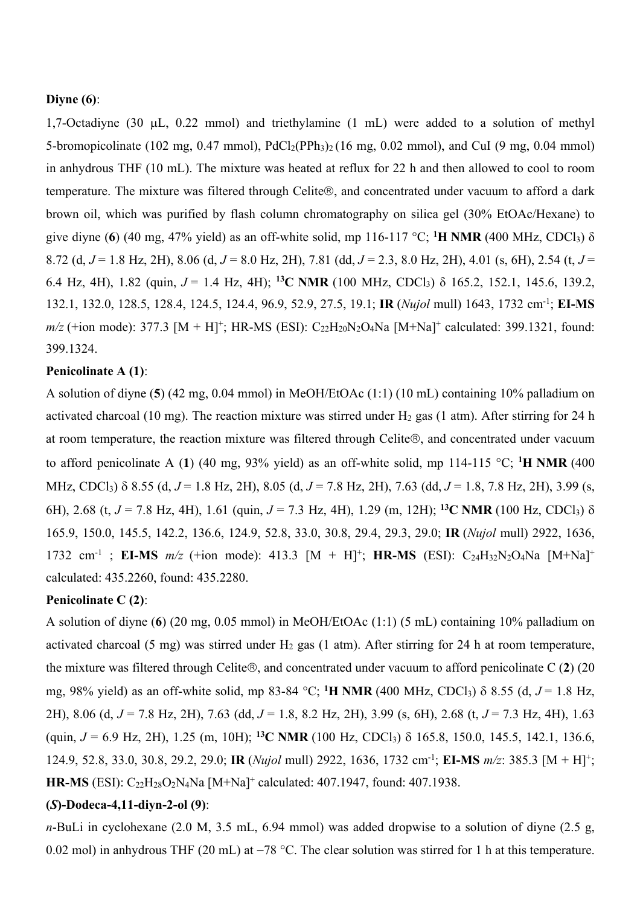# **Diyne (6)**:

1,7-Octadiyne (30 µL, 0.22 mmol) and triethylamine (1 mL) were added to a solution of methyl 5-bromopicolinate (102 mg, 0.47 mmol),  $PdCl<sub>2</sub>(PPh<sub>3</sub>)<sub>2</sub>$  (16 mg, 0.02 mmol), and CuI (9 mg, 0.04 mmol) in anhydrous THF (10 mL). The mixture was heated at reflux for 22 h and then allowed to cool to room temperature. The mixture was filtered through Celite®, and concentrated under vacuum to afford a dark brown oil, which was purified by flash column chromatography on silica gel (30% EtOAc/Hexane) to give diyne (**6**) (40 mg, 47% yield) as an off-white solid, mp 116-117 °C; **<sup>1</sup> H NMR** (400 MHz, CDCl3) δ 8.72 (d, *J* = 1.8 Hz, 2H), 8.06 (d, *J* = 8.0 Hz, 2H), 7.81 (dd, *J* = 2.3, 8.0 Hz, 2H), 4.01 (s, 6H), 2.54 (t, *J* = 6.4 Hz, 4H), 1.82 (quin, *J* = 1.4 Hz, 4H); **13C NMR** (100 MHz, CDCl3) δ 165.2, 152.1, 145.6, 139.2, 132.1, 132.0, 128.5, 128.4, 124.5, 124.4, 96.9, 52.9, 27.5, 19.1; **IR** (*Nujol* mull) 1643, 1732 cm-1 ; **EI-MS**   $m/z$  (+ion mode): 377.3 [M + H]<sup>+</sup>; HR-MS (ESI): C<sub>22</sub>H<sub>20</sub>N<sub>2</sub>O<sub>4</sub>Na [M+Na]<sup>+</sup> calculated: 399.1321, found: 399.1324.

# **Penicolinate A (1)**:

A solution of diyne (**5**) (42 mg, 0.04 mmol) in MeOH/EtOAc (1:1) (10 mL) containing 10% palladium on activated charcoal (10 mg). The reaction mixture was stirred under  $H_2$  gas (1 atm). After stirring for 24 h at room temperature, the reaction mixture was filtered through Celite®, and concentrated under vacuum to afford penicolinate A (**1**) (40 mg, 93% yield) as an off-white solid, mp 114-115 °C; **<sup>1</sup> H NMR** (400 MHz, CDCl3) d 8.55 (d, *J* = 1.8 Hz, 2H), 8.05 (d, *J* = 7.8 Hz, 2H), 7.63 (dd, *J* = 1.8, 7.8 Hz, 2H), 3.99 (s, 6H), 2.68 (t,  $J = 7.8$  Hz, 4H), 1.61 (quin,  $J = 7.3$  Hz, 4H), 1.29 (m, 12H); <sup>13</sup>C NMR (100 Hz, CDCl<sub>3</sub>)  $\delta$ 165.9, 150.0, 145.5, 142.2, 136.6, 124.9, 52.8, 33.0, 30.8, 29.4, 29.3, 29.0; **IR** (*Nujol* mull) 2922, 1636, 1732 cm<sup>-1</sup>; **EI-MS**  $m/z$  (+ion mode): 413.3 [M + H]<sup>+</sup>; **HR-MS** (ESI): C<sub>24</sub>H<sub>32</sub>N<sub>2</sub>O<sub>4</sub>Na [M+Na]<sup>+</sup> calculated: 435.2260, found: 435.2280.

#### **Penicolinate C (2)**:

A solution of diyne (**6**) (20 mg, 0.05 mmol) in MeOH/EtOAc (1:1) (5 mL) containing 10% palladium on activated charcoal (5 mg) was stirred under  $H_2$  gas (1 atm). After stirring for 24 h at room temperature, the mixture was filtered through Celite<sup>®</sup>, and concentrated under vacuum to afford penicolinate C  $(2)$   $(20)$ mg, 98% yield) as an off-white solid, mp 83-84 °C; <sup>1</sup>H NMR (400 MHz, CDCl<sub>3</sub>) δ 8.55 (d, *J* = 1.8 Hz, 2H), 8.06 (d, *J* = 7.8 Hz, 2H), 7.63 (dd, *J* = 1.8, 8.2 Hz, 2H), 3.99 (s, 6H), 2.68 (t, *J* = 7.3 Hz, 4H), 1.63 (quin, *J* = 6.9 Hz, 2H), 1.25 (m, 10H); **13C NMR** (100 Hz, CDCl3) d 165.8, 150.0, 145.5, 142.1, 136.6, 124.9, 52.8, 33.0, 30.8, 29.2, 29.0; **IR** (*Nujol* mull) 2922, 1636, 1732 cm-1 ; **EI-MS** *m/z*: 385.3 [M + H]+; **HR-MS** (ESI): C22H28O2N4Na [M+Na] <sup>+</sup> calculated: 407.1947, found: 407.1938.

# **(***S***)-Dodeca-4,11-diyn-2-ol (9)**:

*n*-BuLi in cyclohexane (2.0 M, 3.5 mL, 6.94 mmol) was added dropwise to a solution of diyne (2.5 g, 0.02 mol) in anhydrous THF (20 mL) at  $-78$  °C. The clear solution was stirred for 1 h at this temperature.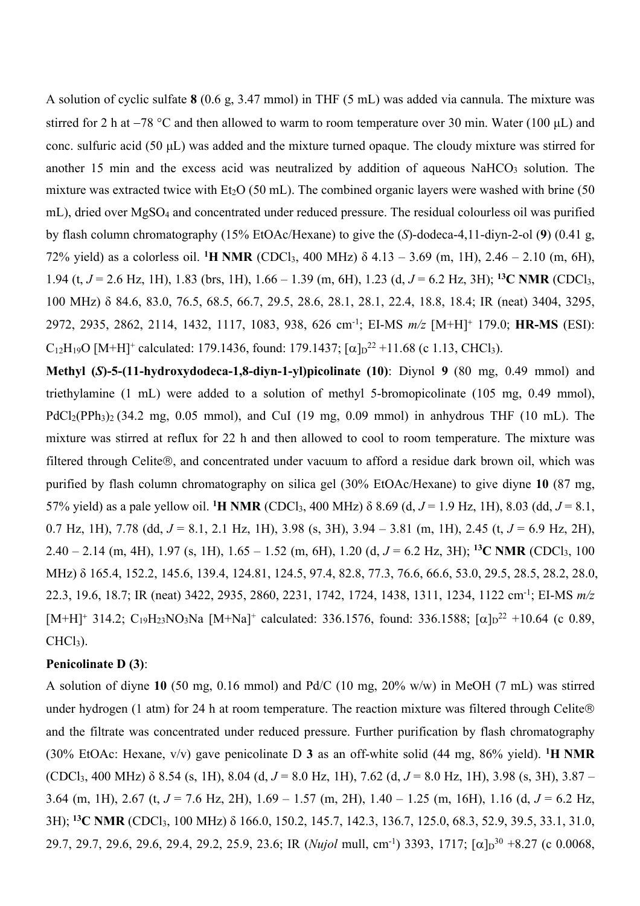A solution of cyclic sulfate **8** (0.6 g, 3.47 mmol) in THF (5 mL) was added via cannula. The mixture was stirred for 2 h at  $-78$  °C and then allowed to warm to room temperature over 30 min. Water (100  $\mu$ L) and conc. sulfuric acid (50 μL) was added and the mixture turned opaque. The cloudy mixture was stirred for another 15 min and the excess acid was neutralized by addition of aqueous  $NaHCO<sub>3</sub>$  solution. The mixture was extracted twice with  $Et_2O$  (50 mL). The combined organic layers were washed with brine (50 mL), dried over MgSO4 and concentrated under reduced pressure. The residual colourless oil was purified by flash column chromatography (15% EtOAc/Hexane) to give the (*S*)-dodeca-4,11-diyn-2-ol (**9**) (0.41 g, 72% yield) as a colorless oil. **<sup>1</sup> H NMR** (CDCl3, 400 MHz) δ 4.13 – 3.69 (m, 1H), 2.46 – 2.10 (m, 6H), 1.94 (t, *J* = 2.6 Hz, 1H), 1.83 (brs, 1H), 1.66 – 1.39 (m, 6H), 1.23 (d, *J* = 6.2 Hz, 3H); **<sup>13</sup>C NMR** (CDCl3, 100 MHz) δ 84.6, 83.0, 76.5, 68.5, 66.7, 29.5, 28.6, 28.1, 28.1, 22.4, 18.8, 18.4; IR (neat) 3404, 3295, 2972, 2935, 2862, 2114, 1432, 1117, 1083, 938, 626 cm-1 ; EI-MS *m/z* [M+H]<sup>+</sup> 179.0; **HR-MS** (ESI):  $C_{12}H_{19}O$  [M+H]<sup>+</sup> calculated: 179.1436, found: 179.1437; [ $\alpha$ ]<sub>D</sub><sup>22</sup> +11.68 (c 1.13, CHCl<sub>3</sub>).

**Methyl (***S***)-5-(11-hydroxydodeca-1,8-diyn-1-yl)picolinate (10)**: Diynol **9** (80 mg, 0.49 mmol) and triethylamine (1 mL) were added to a solution of methyl 5-bromopicolinate (105 mg, 0.49 mmol),  $PdCl_2(PPh_3)_2$  (34.2 mg, 0.05 mmol), and CuI (19 mg, 0.09 mmol) in anhydrous THF (10 mL). The mixture was stirred at reflux for 22 h and then allowed to cool to room temperature. The mixture was filtered through Celite®, and concentrated under vacuum to afford a residue dark brown oil, which was purified by flash column chromatography on silica gel (30% EtOAc/Hexane) to give diyne **10** (87 mg, 57% yield) as a pale yellow oil. **<sup>1</sup> H NMR** (CDCl3, 400 MHz) δ 8.69 (d, *J* = 1.9 Hz, 1H), 8.03 (dd, *J* = 8.1, 0.7 Hz, 1H), 7.78 (dd, *J* = 8.1, 2.1 Hz, 1H), 3.98 (s, 3H), 3.94 – 3.81 (m, 1H), 2.45 (t, *J* = 6.9 Hz, 2H), 2.40 – 2.14 (m, 4H), 1.97 (s, 1H), 1.65 – 1.52 (m, 6H), 1.20 (d, *J* = 6.2 Hz, 3H); **<sup>13</sup>C NMR** (CDCl3, 100 MHz) δ 165.4, 152.2, 145.6, 139.4, 124.81, 124.5, 97.4, 82.8, 77.3, 76.6, 66.6, 53.0, 29.5, 28.5, 28.2, 28.0, 22.3, 19.6, 18.7; IR (neat) 3422, 2935, 2860, 2231, 1742, 1724, 1438, 1311, 1234, 1122 cm-1 ; EI-MS *m/z*  $[M+H]^+$  314.2; C<sub>19</sub>H<sub>23</sub>NO<sub>3</sub>Na  $[M+Na]^+$  calculated: 336.1576, found: 336.1588;  $[\alpha]_D^{22}$  +10.64 (c 0.89,  $CHCl<sub>3</sub>$ ).

# **Penicolinate D (3)**:

A solution of diyne **10** (50 mg, 0.16 mmol) and Pd/C (10 mg, 20% w/w) in MeOH (7 mL) was stirred under hydrogen (1 atm) for 24 h at room temperature. The reaction mixture was filtered through Celite® and the filtrate was concentrated under reduced pressure. Further purification by flash chromatography (30% EtOAc: Hexane, v/v) gave penicolinate D **3** as an off-white solid (44 mg, 86% yield). **<sup>1</sup> H NMR** (CDCl3, 400 MHz) δ 8.54 (s, 1H), 8.04 (d, *J* = 8.0 Hz, 1H), 7.62 (d, *J* = 8.0 Hz, 1H), 3.98 (s, 3H), 3.87 – 3.64 (m, 1H), 2.67 (t, *J* = 7.6 Hz, 2H), 1.69 – 1.57 (m, 2H), 1.40 – 1.25 (m, 16H), 1.16 (d, *J* = 6.2 Hz, 3H); **<sup>13</sup>C NMR** (CDCl3, 100 MHz) δ 166.0, 150.2, 145.7, 142.3, 136.7, 125.0, 68.3, 52.9, 39.5, 33.1, 31.0, 29.7, 29.7, 29.6, 29.6, 29.4, 29.2, 25.9, 23.6; IR (*Nujol* mull, cm<sup>-1</sup>) 3393, 1717; [ $\alpha$ ] $D^{30}$  +8.27 (c 0.0068,